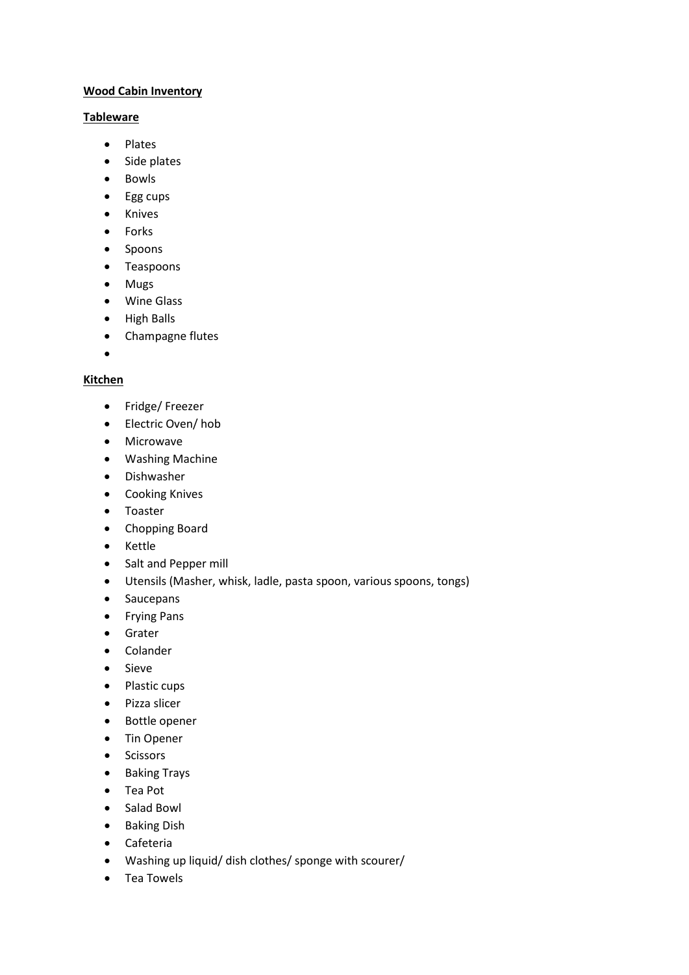## **Wood Cabin Inventory**

#### **Tableware**

- Plates
- Side plates
- Bowls
- Egg cups
- Knives
- Forks
- Spoons
- Teaspoons
- Mugs
- Wine Glass
- High Balls
- Champagne flutes
- •

### **Kitchen**

- Fridge/ Freezer
- Electric Oven/ hob
- Microwave
- Washing Machine
- Dishwasher
- Cooking Knives
- Toaster
- Chopping Board
- Kettle
- Salt and Pepper mill
- Utensils (Masher, whisk, ladle, pasta spoon, various spoons, tongs)
- Saucepans
- Frying Pans
- Grater
- Colander
- Sieve
- Plastic cups
- Pizza slicer
- Bottle opener
- Tin Opener
- Scissors
- Baking Trays
- Tea Pot
- Salad Bowl
- Baking Dish
- Cafeteria
- Washing up liquid/ dish clothes/ sponge with scourer/
- Tea Towels